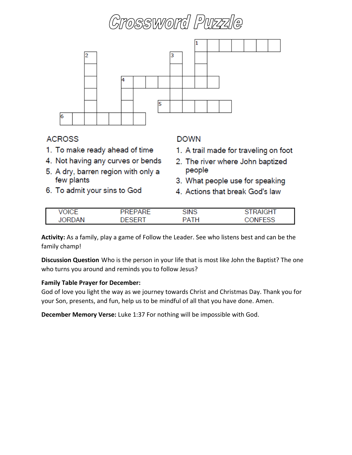# ossword Puzzle



#### **ACROSS**

- 1. To make ready ahead of time
- 4. Not having any curves or bends
- 5. A dry, barren region with only a few plants
- 6. To admit your sins to God

#### **DOWN**

- 1. A trail made for traveling on foot
- 2. The river where John baptized people
- 3. What people use for speaking
- 4. Actions that break God's law

| MUCE | <b>DDEDADE</b><br>-<br>ー | CIMO<br>NIN∪ | <b>IGHT</b> |
|------|--------------------------|--------------|-------------|
| IΔN  |                          | ATH          | FFSS        |

**Activity:** As a family, play a game of Follow the Leader. See who listens best and can be the family champ!

**Discussion Question** Who is the person in your life that is most like John the Baptist? The one who turns you around and reminds you to follow Jesus?

#### **Family Table Prayer for December:**

God of love you light the way as we journey towards Christ and Christmas Day. Thank you for your Son, presents, and fun, help us to be mindful of all that you have done. Amen.

**December Memory Verse:** Luke 1:37 For nothing will be impossible with God.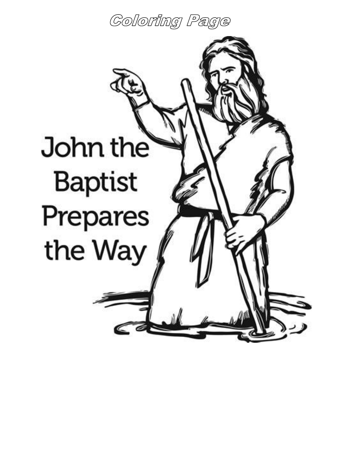